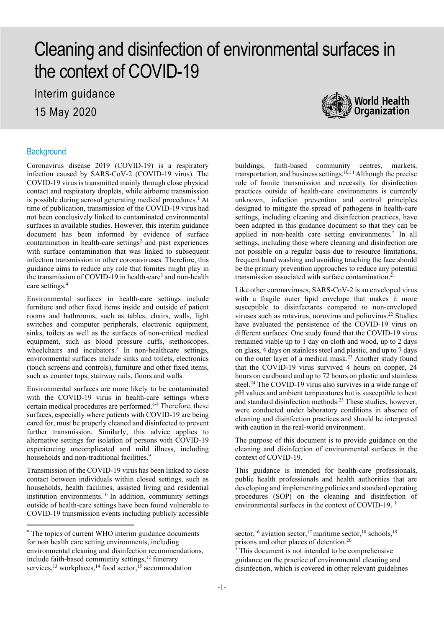# Cleaning and disinfection of environmental surfaces in the context of COVID-19

Interim guidance 15 May 2020



#### **Background**

Coronavirus disease 2019 (COVID-19) is a respiratory infection caused by SARS-CoV-2 (COVID-19 virus). The COVID-19 virus is transmitted mainly through close physical contact and respiratory droplets, while airborne transmission is possible during aerosol generating medical procedures.<sup>1</sup> At time of publication, transmission of the COVID-19 virus had not been conclusively linked to contaminated environmental surfaces in available studies. However, this interim guidance document has been informed by evidence of surface contamination in health-care settings<sup>2</sup> and past experiences with surface contamination that was linked to subsequent infection transmission in other coronaviruses. Therefore, this guidance aims to reduce any role that fomites might play in the transmission of COVID-19 in health-care<sup>3</sup> and non-health care settings. 4

Environmental surfaces in health-care settings include furniture and other fixed items inside and outside of patient rooms and bathrooms, such as tables, chairs, walls, light switches and computer peripherals, electronic equipment, sinks, toilets as well as the surfaces of non-critical medical equipment, such as blood pressure cuffs, stethoscopes, wheelchairs and incubators. <sup>5</sup> In non-healthcare settings, environmental surfaces include sinks and toilets, electronics (touch screens and controls), furniture and other fixed items, such as counter tops, stairway rails, floors and walls.

Environmental surfaces are more likely to be contaminated with the COVID-19 virus in health-care settings where certain medical procedures are performed. 6-8 Therefore, these surfaces, especially where patients with COVID-19 are being cared for, must be properly cleaned and disinfected to prevent further transmission. Similarly, this advice applies to alternative settings for isolation of persons with COVID-19 experiencing uncomplicated and mild illness, including households and non-traditional facilities.<sup>9</sup>

Transmission of the COVID-19 virus has been linked to close contact between individuals within closed settings, such as households, health facilities, assisted living and residential institution environments. 10 In addition, community settings outside of health-care settings have been found vulnerable to COVID-19 transmission events including publicly accessible

buildings, faith-based community centres, markets, transportation, and business settings. 10,11 Although the precise role of fomite transmission and necessity for disinfection practices outside of health-care environments is currently unknown, infection prevention and control principles designed to mitigate the spread of pathogens in health-care settings, including cleaning and disinfection practices, have been adapted in this guidance document so that they can be applied in non-health care setting environments. [\\*](#page-0-0) In all settings, including those where cleaning and disinfection are not possible on a regular basis due to resource limitations, frequent hand washing and avoiding touching the face should be the primary prevention approaches to reduce any potential transmission associated with surface contamination.

Like other coronaviruses, SARS-CoV-2 is an enveloped virus with a fragile outer lipid envelope that makes it more susceptible to disinfectants compared to non-enveloped viruses such as rotavirus, norovirus and poliovirus.22 Studies have evaluated the persistence of the COVID-19 virus on different surfaces. One study found that the COVID-19 virus remained viable up to 1 day on cloth and wood, up to 2 days on glass, 4 days on stainless steel and plastic, and up to 7 days on the outer layer of a medical mask.23 Another study found that the COVID-19 virus survived 4 hours on copper, 24 hours on cardboard and up to 72 hours on plastic and stainless steel.<sup>24</sup> The COVID-19 virus also survives in a wide range of pH values and ambient temperatures but is susceptible to heat and standard disinfection methods.<sup>23</sup> These studies, however, were conducted under laboratory conditions in absence of cleaning and disinfection practices and should be interpreted with caution in the real-world environment.

The purpose of this document is to provide guidance on the cleaning and disinfection of environmental surfaces in the context of COVID-19.

This guidance is intended for health-care professionals, public health professionals and health authorities that are developing and implementing policies and standard operating procedures (SOP) on the cleaning and disinfection of environmental surfaces in the context of COVID-19. [†](#page-0-1)

<span id="page-0-1"></span><span id="page-0-0"></span><sup>\*</sup> The topics of current WHO interim guidance documents for non health care setting environments, including environmental cleaning and disinfection recommendations, include faith-based community settings,<sup>12</sup> funerary services,<sup>13</sup> workplaces,<sup>14</sup> food sector,<sup>15</sup> accommodation

sector,<sup>16</sup> aviation sector,<sup>17</sup> maritime sector,<sup>18</sup> schools,<sup>19</sup> prisons and other places of detention.20

<sup>†</sup> This document is not intended to be comprehensive guidance on the practice of environmental cleaning and disinfection, which is covered in other relevant guidelines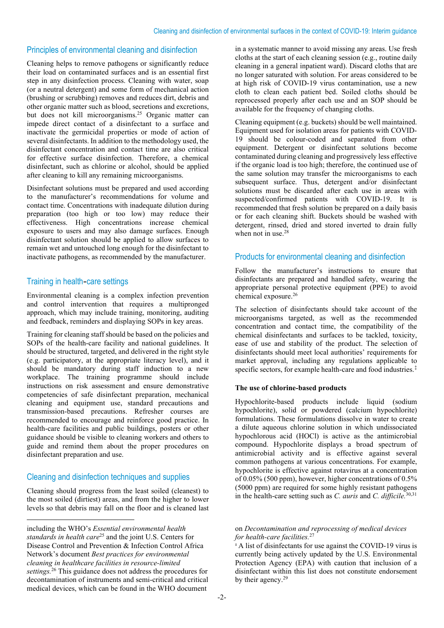## Principles of environmental cleaning and disinfection

Cleaning helps to remove pathogens or significantly reduce their load on contaminated surfaces and is an essential first step in any disinfection process. Cleaning with water, soap (or a neutral detergent) and some form of mechanical action (brushing or scrubbing) removes and reduces dirt, debris and other organic matter such as blood, secretions and excretions, but does not kill microorganisms. <sup>25</sup> Organic matter can impede direct contact of a disinfectant to a surface and inactivate the germicidal properties or mode of action of several disinfectants. In addition to the methodology used, the disinfectant concentration and contact time are also critical for effective surface disinfection. Therefore, a chemical disinfectant, such as chlorine or alcohol, should be applied after cleaning to kill any remaining microorganisms.

Disinfectant solutions must be prepared and used according to the manufacturer's recommendations for volume and contact time. Concentrations with inadequate dilution during preparation (too high or too low) may reduce their effectiveness. High concentrations increase chemical exposure to users and may also damage surfaces. Enough disinfectant solution should be applied to allow surfaces to remain wet and untouched long enough for the disinfectant to inactivate pathogens, as recommended by the manufacturer.

## Training in health-care settings

Environmental cleaning is a complex infection prevention and control intervention that requires a multipronged approach, which may include training, monitoring, auditing and feedback, reminders and displaying SOPs in key areas.

Training for cleaning staff should be based on the policies and SOPs of the health-care facility and national guidelines. It should be structured, targeted, and delivered in the right style (e.g. participatory, at the appropriate literacy level), and it should be mandatory during staff induction to a new workplace. The training programme should include instructions on risk assessment and ensure demonstrative competencies of safe disinfectant preparation, mechanical cleaning and equipment use, standard precautions and transmission-based precautions. Refresher courses are recommended to encourage and reinforce good practice. In health-care facilities and public buildings, posters or other guidance should be visible to cleaning workers and others to guide and remind them about the proper procedures on disinfectant preparation and use.

# Cleaning and disinfection techniques and supplies

Cleaning should progress from the least soiled (cleanest) to the most soiled (dirtiest) areas, and from the higher to lower levels so that debris may fall on the floor and is cleaned last

in a systematic manner to avoid missing any areas. Use fresh cloths at the start of each cleaning session (e.g., routine daily cleaning in a general inpatient ward). Discard cloths that are no longer saturated with solution. For areas considered to be at high risk of COVID-19 virus contamination, use a new cloth to clean each patient bed. Soiled cloths should be reprocessed properly after each use and an SOP should be available for the frequency of changing cloths.

Cleaning equipment (e.g. buckets) should be well maintained. Equipment used for isolation areas for patients with COVID-19 should be colour-coded and separated from other equipment. Detergent or disinfectant solutions become contaminated during cleaning and progressively less effective if the organic load is too high; therefore, the continued use of the same solution may transfer the microorganisms to each subsequent surface. Thus, detergent and/or disinfectant solutions must be discarded after each use in areas with suspected/confirmed patients with COVID-19. It is recommended that fresh solution be prepared on a daily basis or for each cleaning shift. Buckets should be washed with detergent, rinsed, dried and stored inverted to drain fully when not in use.<sup>28</sup>

# Products for environmental cleaning and disinfection

Follow the manufacturer's instructions to ensure that disinfectants are prepared and handled safety, wearing the appropriate personal protective equipment (PPE) to avoid chemical exposure. 26

The selection of disinfectants should take account of the microorganisms targeted, as well as the recommended concentration and contact time, the compatibility of the chemical disinfectants and surfaces to be tackled, toxicity, ease of use and stability of the product. The selection of disinfectants should meet local authorities' requirements for market approval, including any regulations applicable to specific sectors, for example health-care and food industries. [‡](#page-1-0)

### **The use of chlorine-based products**

Hypochlorite-based products include liquid (sodium hypochlorite), solid or powdered (calcium hypochlorite) formulations. These formulations dissolve in water to create a dilute aqueous chlorine solution in which undissociated hypochlorous acid (HOCl) is active as the antimicrobial compound. Hypochlorite displays a broad spectrum of antimicrobial activity and is effective against several common pathogens at various concentrations. For example, hypochlorite is effective against rotavirus at a concentration of 0.05% (500 ppm), however, higher concentrations of 0.5% (5000 ppm) are required for some highly resistant pathogens in the health-care setting such as *C. auris* and *C. difficile.* 30,31

 $\mathbf{\hat{i}}$  A list of disinfectants for use against the COVID-19 virus is currently being actively updated by the U.S. Environmental Protection Agency (EPA) with caution that inclusion of a disinfectant within this list does not constitute endorsement by their agency.<sup>29</sup>

<span id="page-1-0"></span>including the WHO's *Essential environmental health standards in health care*<sup>25</sup> and the joint U.S. Centers for Disease Control and Prevention & Infection Control Africa Network's document *Best practices for environmental cleaning in healthcare facilities in resource-limited settings.* <sup>26</sup> This guidance does not address the procedures for decontamination of instruments and semi-critical and critical medical devices, which can be found in the WHO document

on *Decontamination and reprocessing of medical devices for health-care facilities.* 27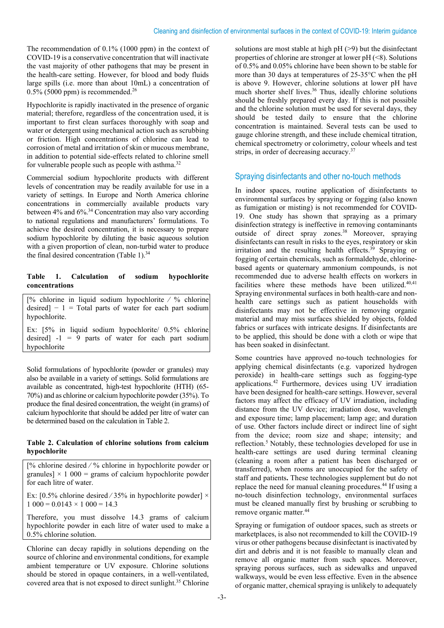The recommendation of 0.1% (1000 ppm) in the context of COVID-19 is a conservative concentration that will inactivate the vast majority of other pathogens that may be present in the health-care setting. However, for blood and body fluids large spills (i.e. more than about 10mL) a concentration of  $0.5\%$  (5000 ppm) is recommended.<sup>26</sup>

Hypochlorite is rapidly inactivated in the presence of organic material; therefore, regardless of the concentration used, it is important to first clean surfaces thoroughly with soap and water or detergent using mechanical action such as scrubbing or friction. High concentrations of chlorine can lead to corrosion of metal and irritation of skin or mucous membrane, in addition to potential side-effects related to chlorine smell for vulnerable people such as people with asthma.<sup>32</sup>

Commercial sodium hypochlorite products with different levels of concentration may be readily available for use in a variety of settings. In Europe and North America chlorine concentrations in commercially available products vary between 4% and 6%.<sup>34</sup> Concentration may also vary according to national regulations and manufacturers' formulations. To achieve the desired concentration, it is necessary to prepare sodium hypochlorite by diluting the basic aqueous solution with a given proportion of clean, non-turbid water to produce the final desired concentration (Table 1).<sup>34</sup>

#### **Table 1. Calculation of sodium hypochlorite concentrations**

[% chlorine in liquid sodium hypochlorite ∕ % chlorine desired]  $-1$  = Total parts of water for each part sodium hypochlorite.

Ex: [5% in liquid sodium hypochlorite/ 0.5% chlorine desired]  $-1 = 9$  parts of water for each part sodium hypochlorite

Solid formulations of hypochlorite (powder or granules) may also be available in a variety of settings. Solid formulations are available as concentrated, high-test hypochlorite (HTH) (65- 70%) and as chlorine or calcium hypochlorite powder (35%). To produce the final desired concentration, the weight (in grams) of calcium hypochlorite that should be added per litre of water can be determined based on the calculation in Table 2.

#### **Table 2. Calculation of chlorine solutions from calcium hypochlorite**

[% chlorine desired ∕ % chlorine in hypochlorite powder or granules]  $\times$  1 000 = grams of calcium hypochlorite powder for each litre of water.

Ex: [0.5% chlorine desired  $\frac{735}{6}$  in hypochlorite powder]  $\times$  $1\,000 = 0.0143 \times 1\,000 = 14.3$ 

Therefore, you must dissolve 14.3 grams of calcium hypochlorite powder in each litre of water used to make a 0.5% chlorine solution.

Chlorine can decay rapidly in solutions depending on the source of chlorine and environmental conditions, for example ambient temperature or UV exposure. Chlorine solutions should be stored in opaque containers, in a well-ventilated, covered area that is not exposed to direct sunlight. <sup>35</sup> Chlorine

solutions are most stable at high pH (>9) but the disinfectant properties of chlorine are stronger at lower pH (<8). Solutions of 0.5% and 0.05% chlorine have been shown to be stable for more than 30 days at temperatures of 25-35°C when the pH is above 9. However, chlorine solutions at lower pH have much shorter shelf lives. <sup>36</sup> Thus, ideally chlorine solutions should be freshly prepared every day. If this is not possible and the chlorine solution must be used for several days, they should be tested daily to ensure that the chlorine concentration is maintained. Several tests can be used to gauge chlorine strength, and these include chemical titration, chemical spectrometry or colorimetry, colour wheels and test strips, in order of decreasing accuracy.<sup>37</sup>

# Spraying disinfectants and other no-touch methods

In indoor spaces, routine application of disinfectants to environmental surfaces by spraying or fogging (also known as fumigation or misting) is not recommended for COVID-19. One study has shown that spraying as a primary disinfection strategy is ineffective in removing contaminants outside of direct spray zones. <sup>38</sup> Moreover, spraying disinfectants can result in risks to the eyes, respiratory or skin irritation and the resulting health effects. <sup>39</sup> Spraying or fogging of certain chemicals, such as formaldehyde, chlorinebased agents or quaternary ammonium compounds, is not recommended due to adverse health effects on workers in facilities where these methods have been utilized.<sup>40,41</sup> Spraying environmental surfaces in both health-care and nonhealth care settings such as patient households with disinfectants may not be effective in removing organic material and may miss surfaces shielded by objects, folded fabrics or surfaces with intricate designs. If disinfectants are to be applied, this should be done with a cloth or wipe that has been soaked in disinfectant.

Some countries have approved no-touch technologies for applying chemical disinfectants (e.g. vaporized hydrogen peroxide) in health-care settings such as fogging-type applications. <sup>42</sup> Furthermore, devices using UV irradiation have been designed for health-care settings. However, several factors may affect the efficacy of UV irradiation, including distance from the UV device; irradiation dose, wavelength and exposure time; lamp placement; lamp age; and duration of use. Other factors include direct or indirect line of sight from the device; room size and shape; intensity; and reflection.<sup>5</sup> Notably, these technologies developed for use in health-care settings are used during terminal cleaning (cleaning a room after a patient has been discharged or transferred), when rooms are unoccupied for the safety of staff and patients**.** These technologies supplement but do not replace the need for manual cleaning procedures. <sup>44</sup> If using a no-touch disinfection technology, environmental surfaces must be cleaned manually first by brushing or scrubbing to remove organic matter. 44

Spraying or fumigation of outdoor spaces, such as streets or marketplaces, is also not recommended to kill the COVID-19 virus or other pathogens because disinfectant is inactivated by dirt and debris and it is not feasible to manually clean and remove all organic matter from such spaces. Moreover, spraying porous surfaces, such as sidewalks and unpaved walkways, would be even less effective. Even in the absence of organic matter, chemical spraying is unlikely to adequately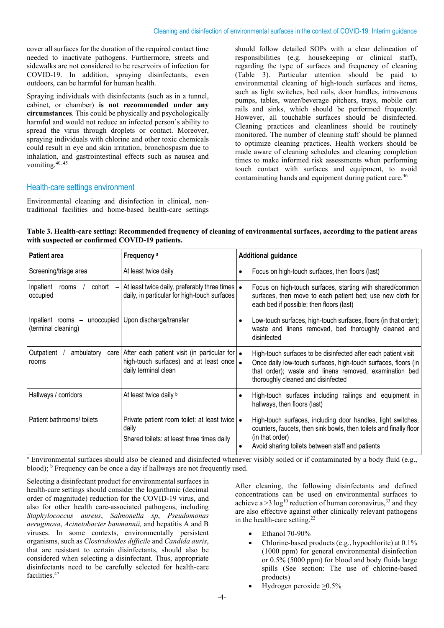cover all surfaces for the duration of the required contact time needed to inactivate pathogens. Furthermore, streets and sidewalks are not considered to be reservoirs of infection for COVID-19. In addition, spraying disinfectants, even outdoors, can be harmful for human health.

Spraying individuals with disinfectants (such as in a tunnel, cabinet, or chamber) **is not recommended under any circumstances**. This could be physically and psychologically harmful and would not reduce an infected person's ability to spread the virus through droplets or contact. Moreover, spraying individuals with chlorine and other toxic chemicals could result in eye and skin irritation, bronchospasm due to inhalation, and gastrointestinal effects such as nausea and vomiting.<sup>40, 45</sup>

should follow detailed SOPs with a clear delineation of responsibilities (e.g. housekeeping or clinical staff), regarding the type of surfaces and frequency of cleaning (Table 3). Particular attention should be paid to environmental cleaning of high-touch surfaces and items, such as light switches, bed rails, door handles, intravenous pumps, tables, water/beverage pitchers, trays, mobile cart rails and sinks, which should be performed frequently. However, all touchable surfaces should be disinfected. Cleaning practices and cleanliness should be routinely monitored. The number of cleaning staff should be planned to optimize cleaning practices. Health workers should be made aware of cleaning schedules and cleaning completion times to make informed risk assessments when performing touch contact with surfaces and equipment, to avoid contaminating hands and equipment during patient care.<sup>46</sup>

# Health-care settings environment

Environmental cleaning and disinfection in clinical, nontraditional facilities and home-based health-care settings

**Table 3. Health-care setting: Recommended frequency of cleaning of environmental surfaces, according to the patient areas with suspected or confirmed COVID-19 patients.**

| <b>Patient area</b>                                 | Frequency <sup>a</sup>                                                                                                                                   | <b>Additional guidance</b>                                                                                                                                                                                                                                                                                                  |
|-----------------------------------------------------|----------------------------------------------------------------------------------------------------------------------------------------------------------|-----------------------------------------------------------------------------------------------------------------------------------------------------------------------------------------------------------------------------------------------------------------------------------------------------------------------------|
| Screening/triage area                               | At least twice daily                                                                                                                                     | Focus on high-touch surfaces, then floors (last)<br>$\bullet$                                                                                                                                                                                                                                                               |
| Inpatient<br>cohort<br>rooms<br>occupied            | At least twice daily, preferably three times   •<br>daily, in particular for high-touch surfaces                                                         | Focus on high-touch surfaces, starting with shared/common<br>surfaces, then move to each patient bed; use new cloth for<br>each bed if possible; then floors (last)                                                                                                                                                         |
| Inpatient rooms - unoccupied<br>(terminal cleaning) | Upon discharge/transfer                                                                                                                                  | Low-touch surfaces, high-touch surfaces, floors (in that order);<br>$\bullet$<br>waste and linens removed, bed thoroughly cleaned and<br>disinfected                                                                                                                                                                        |
| Outpatient<br>ambulatory<br>care<br>rooms           | After each patient visit (in particular for $\bullet$<br>high-touch surfaces) and at least once $\bullet$<br>daily terminal clean                        | High-touch surfaces to be disinfected after each patient visit<br>Once daily low-touch surfaces, high-touch surfaces, floors (in<br>that order); waste and linens removed, examination bed<br>thoroughly cleaned and disinfected                                                                                            |
| Hallways / corridors                                | At least twice daily b                                                                                                                                   | High-touch surfaces including railings and equipment in<br>$\bullet$<br>hallways, then floors (last)                                                                                                                                                                                                                        |
| Patient bathrooms/ toilets                          | Private patient room toilet: at least twice<br>daily<br>Shared toilets: at least three times daily<br>$\mathbf{a}$ . The state of the state $\mathbf{a}$ | High-touch surfaces, including door handles, light switches,<br>counters, faucets, then sink bowls, then toilets and finally floor<br>(in that order)<br>Avoid sharing toilets between staff and patients<br>$\bullet$<br>$\mathbf{r}$ and $\mathbf{r}$ and $\mathbf{r}$ and $\mathbf{r}$ and $\mathbf{r}$ and $\mathbf{r}$ |

<sup>a</sup> Environmental surfaces should also be cleaned and disinfected whenever visibly soiled or if contaminated by a body fluid (e.g., blood); <sup>b</sup> Frequency can be once a day if hallways are not frequently used.

Selecting a disinfectant product for environmental surfaces in health-care settings should consider the logarithmic (decimal order of magnitude) reduction for the COVID-19 virus, and also for other health care-associated pathogens, including *Staphylococcus aureus*, *Salmonella sp*, *Pseudomonas aeruginosa*, *Acinetobacter baumannii,* and hepatitis A and B viruses. In some contexts, environmentally persistent organisms, such as *Clostridioides difficile* and *Candida auris*, that are resistant to certain disinfectants, should also be considered when selecting a disinfectant. Thus, appropriate disinfectants need to be carefully selected for health-care facilities. 47

After cleaning, the following disinfectants and defined concentrations can be used on environmental surfaces to achieve a  $>$ 3 log<sup>10</sup> reduction of human coronavirus,<sup>33</sup> and they are also effective against other clinically relevant pathogens in the health-care setting.<sup>22</sup>

- Ethanol 70-90%
- Chlorine-based products (e.g., hypochlorite) at 0.1% (1000 ppm) for general environmental disinfection or 0.5% (5000 ppm) for blood and body fluids large spills (See section: The use of chlorine-based products)
- Hydrogen peroxide >0.5%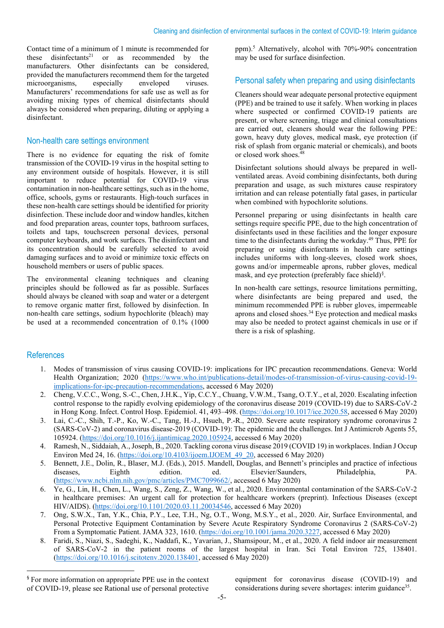Contact time of a minimum of 1 minute is recommended for these disinfectants<sup>21</sup> or as recommended by the manufacturers. Other disinfectants can be considered, provided the manufacturers recommend them for the targeted microorganisms, especially enveloped viruses. Manufacturers' recommendations for safe use as well as for avoiding mixing types of chemical disinfectants should always be considered when preparing, diluting or applying a disinfectant.

## Non-health care settings environment

There is no evidence for equating the risk of fomite transmission of the COVID-19 virus in the hospital setting to any environment outside of hospitals. However, it is still important to reduce potential for COVID-19 virus contamination in non-healthcare settings, such as in the home, office, schools, gyms or restaurants. High-touch surfaces in these non-health care settings should be identified for priority disinfection. These include door and window handles, kitchen and food preparation areas, counter tops, bathroom surfaces, toilets and taps, touchscreen personal devices, personal computer keyboards, and work surfaces. The disinfectant and its concentration should be carefully selected to avoid damaging surfaces and to avoid or minimize toxic effects on household members or users of public spaces.

The environmental cleaning techniques and cleaning principles should be followed as far as possible. Surfaces should always be cleaned with soap and water or a detergent to remove organic matter first, followed by disinfection. In non-health care settings, sodium hypochlorite (bleach) may be used at a recommended concentration of 0.1% (1000

ppm). <sup>5</sup> Alternatively, alcohol with 70%-90% concentration may be used for surface disinfection.

# Personal safety when preparing and using disinfectants

Cleaners should wear adequate personal protective equipment (PPE) and be trained to use it safely. When working in places where suspected or confirmed COVID-19 patients are present, or where screening, triage and clinical consultations are carried out, cleaners should wear the following PPE: gown, heavy duty gloves, medical mask, eye protection (if risk of splash from organic material or chemicals), and boots or closed work shoes.<sup>48</sup>

Disinfectant solutions should always be prepared in wellventilated areas. Avoid combining disinfectants, both during preparation and usage, as such mixtures cause respiratory irritation and can release potentially fatal gases, in particular when combined with hypochlorite solutions.

Personnel preparing or using disinfectants in health care settings require specific PPE, due to the high concentration of disinfectants used in these facilities and the longer exposure time to the disinfectants during the workday. <sup>49</sup> Thus, PPE for preparing or using disinfectants in health care settings includes uniforms with long-sleeves, closed work shoes, gowns and/or impermeable aprons, rubber gloves, medical mask, and eye protection (preferably face shield)[§](#page-4-0) .

In non-health care settings, resource limitations permitting, where disinfectants are being prepared and used, the minimum recommended PPE is rubber gloves, impermeable aprons and closed shoes. <sup>34</sup> Eye protection and medical masks may also be needed to protect against chemicals in use or if there is a risk of splashing.

# References

- 1. Modes of transmission of virus causing COVID-19: implications for IPC precaution recommendations. Geneva: World Health Organization; 2020 [\(https://www.who.int/publications-detail/modes-of-transmission-of-virus-causing-covid-19](https://www.who.int/publications-detail/modes-of-transmission-of-virus-causing-covid-19-implications-for-ipc-precaution-recommendations) [implications-for-ipc-precaution-recommendations,](https://www.who.int/publications-detail/modes-of-transmission-of-virus-causing-covid-19-implications-for-ipc-precaution-recommendations) accessed 6 May 2020)
- 2. Cheng, V.C.C., Wong, S.-C., Chen, J.H.K., Yip, C.C.Y., Chuang, V.W.M., Tsang, O.T.Y., et al, 2020. Escalating infection control response to the rapidly evolving epidemiology of the coronavirus disease 2019 (COVID-19) due to SARS-CoV-2 in Hong Kong. Infect. Control Hosp. Epidemiol. 41, 493–498. [\(https://doi.org/10.1017/ice.2020.58,](https://doi.org/10.1017/ice.2020.58) accessed 6 May 2020)
- 3. Lai, C.-C., Shih, T.-P., Ko, W.-C., Tang, H.-J., Hsueh, P.-R., 2020. Severe acute respiratory syndrome coronavirus 2 (SARS-CoV-2) and coronavirus disease-2019 (COVID-19): The epidemic and the challenges. Int J Antimicrob Agents 55, 105924. [\(https://doi.org/10.1016/j.ijantimicag.2020.105924,](https://doi.org/10.1016/j.ijantimicag.2020.105924) accessed 6 May 2020)
- 4. Ramesh, N., Siddaiah, A., Joseph, B., 2020. Tackling corona virus disease 2019 (COVID 19) in workplaces. Indian J Occup Environ Med 24, 16. [\(https://doi.org/10.4103/ijoem.IJOEM\\_49\\_20,](https://doi.org/10.4103/ijoem.IJOEM_49_20) accessed 6 May 2020)
- 5. Bennett, J.E., Dolin, R., Blaser, M.J. (Eds.), 2015. Mandell, Douglas, and Bennett's principles and practice of infectious diseases. Eighth edition. Blsevier/Saunders. Philadelphia. PA. diseases, Eighth edition. ed. Elsevier/Saunders, Philadelphia, PA. [\(https://www.ncbi.nlm.nih.gov/pmc/articles/PMC7099662/,](https://www.ncbi.nlm.nih.gov/pmc/articles/PMC7099662/) accessed 6 May 2020)
- 6. Ye, G., Lin, H., Chen, L., Wang, S., Zeng, Z., Wang, W., et al., 2020. Environmental contamination of the SARS-CoV-2 in healthcare premises: An urgent call for protection for healthcare workers (preprint). Infectious Diseases (except HIV/AIDS). [\(https://doi.org/10.1101/2020.03.11.20034546,](https://doi.org/10.1101/2020.03.11.20034546) accessed 6 May 2020)
- 7. Ong, S.W.X., Tan, Y.K., Chia, P.Y., Lee, T.H., Ng, O.T., Wong, M.S.Y., et al., 2020. Air, Surface Environmental, and Personal Protective Equipment Contamination by Severe Acute Respiratory Syndrome Coronavirus 2 (SARS-CoV-2) From a Symptomatic Patient. JAMA 323, 1610. [\(https://doi.org/10.1001/jama.2020.3227,](https://doi.org/10.1001/jama.2020.3227) accessed 6 May 2020)
- 8. Faridi, S., Niazi, S., Sadeghi, K., Naddafi, K., Yavarian, J., Shamsipour, M., et al., 2020. A field indoor air measurement of SARS-CoV-2 in the patient rooms of the largest hospital in Iran. Sci Total Environ 725, 138401. [\(https://doi.org/10.1016/j.scitotenv.2020.138401,](https://doi.org/10.1016/j.scitotenv.2020.138401) accessed 6 May 2020)

equipment for coronavirus disease (COVID-19) and considerations during severe shortages: interim guidance<sup>35</sup>.

<span id="page-4-0"></span><sup>§</sup> For more information on appropriate PPE use in the context of COVID-19, please see Rational use of personal protective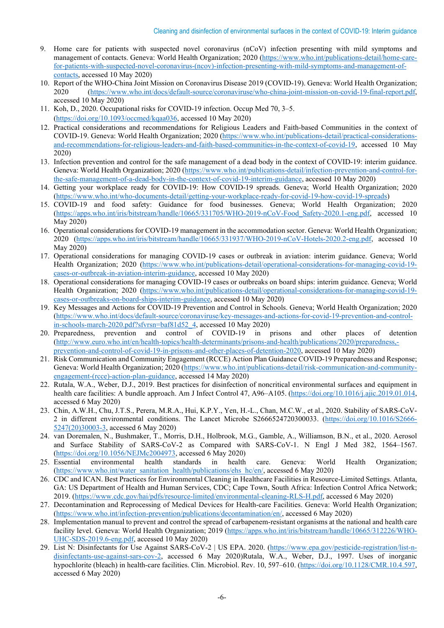- 9. Home care for patients with suspected novel coronavirus (nCoV) infection presenting with mild symptoms and management of contacts. Geneva: World Health Organization; 2020 [\(https://www.who.int/publications-detail/home-care](https://www.who.int/publications-detail/home-care-for-patients-with-suspected-novel-coronavirus-(ncov)-infection-presenting-with-mild-symptoms-and-management-of-contacts)[for-patients-with-suspected-novel-coronavirus-\(ncov\)-infection-presenting-with-mild-symptoms-and-management-of](https://www.who.int/publications-detail/home-care-for-patients-with-suspected-novel-coronavirus-(ncov)-infection-presenting-with-mild-symptoms-and-management-of-contacts)[contacts,](https://www.who.int/publications-detail/home-care-for-patients-with-suspected-novel-coronavirus-(ncov)-infection-presenting-with-mild-symptoms-and-management-of-contacts) accessed 10 May 2020)
- 10. Report of the WHO-China Joint Mission on Coronavirus Disease 2019 (COVID-19). Geneva: World Health Organization; 2020 [\(https://www.who.int/docs/default-source/coronaviruse/who-china-joint-mission-on-covid-19-final-report.pdf,](https://www.who.int/docs/default-source/coronaviruse/who-china-joint-mission-on-covid-19-final-report.pdf) accessed 10 May 2020)
- 11. Koh, D., 2020. Occupational risks for COVID-19 infection. Occup Med 70, 3–5. [\(https://doi.org/10.1093/occmed/kqaa036,](https://doi.org/10.1093/occmed/kqaa036) accessed 10 May 2020)
- 12. Practical considerations and recommendations for Religious Leaders and Faith-based Communities in the context of COVID-19. Geneva: World Health Organization; 2020 [\(https://www.who.int/publications-detail/practical-considerations](https://www.who.int/publications-detail/practical-considerations-and-recommendations-for-religious-leaders-and-faith-based-communities-in-the-context-of-covid-19)[and-recommendations-for-religious-leaders-and-faith-based-communities-in-the-context-of-covid-19,](https://www.who.int/publications-detail/practical-considerations-and-recommendations-for-religious-leaders-and-faith-based-communities-in-the-context-of-covid-19) accessed 10 May 2020)
- 13. Infection prevention and control for the safe management of a dead body in the context of COVID-19: interim guidance. Geneva: World Health Organization; 2020 [\(https://www.who.int/publications-detail/infection-prevention-and-control-for](https://www.who.int/publications-detail/infection-prevention-and-control-for-the-safe-management-of-a-dead-body-in-the-context-of-covid-19-interim-guidance)[the-safe-management-of-a-dead-body-in-the-context-of-covid-19-interim-guidance,](https://www.who.int/publications-detail/infection-prevention-and-control-for-the-safe-management-of-a-dead-body-in-the-context-of-covid-19-interim-guidance) accessed 10 May 2020)
- 14. Getting your workplace ready for COVID-19: How COVID-19 spreads. Geneva; World Health Organization; 2020 [\(https://www.who.int/who-documents-detail/getting-your-workplace-ready-for-covid-19-how-covid-19-spreads\)](https://www.who.int/who-documents-detail/getting-your-workplace-ready-for-covid-19-how-covid-19-spreads)
- 15. COVID-19 and food safety: Guidance for food businesses. Geneva; World Health Organization; 2020 [\(https://apps.who.int/iris/bitstream/handle/10665/331705/WHO-2019-nCoV-Food\\_Safety-2020.1-eng.pdf,](https://apps.who.int/iris/bitstream/handle/10665/331705/WHO-2019-nCoV-Food_Safety-2020.1-eng.pdf) accessed 10 May 2020)
- 16. Operational considerations for COVID-19 management in the accommodation sector. Geneva: World Health Organization; 2020 [\(https://apps.who.int/iris/bitstream/handle/10665/331937/WHO-2019-nCoV-Hotels-2020.2-eng.pdf,](https://apps.who.int/iris/bitstream/handle/10665/331937/WHO-2019-nCoV-Hotels-2020.2-eng.pdf) accessed 10 May 2020)
- 17. Operational considerations for managing COVID-19 cases or outbreak in aviation: interim guidance. Geneva; World Health Organization; 2020 [\(https://www.who.int/publications-detail/operational-considerations-for-managing-covid-19](https://www.who.int/publications-detail/operational-considerations-for-managing-covid-19-cases-or-outbreak-in-aviation-interim-guidance) [cases-or-outbreak-in-aviation-interim-guidance,](https://www.who.int/publications-detail/operational-considerations-for-managing-covid-19-cases-or-outbreak-in-aviation-interim-guidance) accessed 10 May 2020)
- 18. Operational considerations for managing COVID-19 cases or outbreaks on board ships: interim guidance. Geneva; World Health Organization; 2020 [\(https://www.who.int/publications-detail/operational-considerations-for-managing-covid-19](https://www.who.int/publications-detail/operational-considerations-for-managing-covid-19-cases-or-outbreaks-on-board-ships-interim-guidance) [cases-or-outbreaks-on-board-ships-interim-guidance,](https://www.who.int/publications-detail/operational-considerations-for-managing-covid-19-cases-or-outbreaks-on-board-ships-interim-guidance) accessed 10 May 2020)
- 19. Key Messages and Actions for COVID-19 Prevention and Control in Schools. Geneva; World Health Organization; 2020 [\(https://www.who.int/docs/default-source/coronaviruse/key-messages-and-actions-for-covid-19-prevention-and-control](https://www.who.int/docs/default-source/coronaviruse/key-messages-and-actions-for-covid-19-prevention-and-control-in-schools-march-2020.pdf?sfvrsn=baf81d52_4)[in-schools-march-2020.pd](https://www.who.int/docs/default-source/coronaviruse/key-messages-and-actions-for-covid-19-prevention-and-control-in-schools-march-2020.pdf?sfvrsn=baf81d52_4)f?sfvrsn=baf81d52\_4, accessed 10 May 2020)
- 20. Preparedness, prevention and control of COVID-19 in prisons and other places of detention [\(http://www.euro.who.int/en/health-topics/health-determinants/prisons-and-health/publications/2020/preparedness,](http://www.euro.who.int/en/health-topics/health-determinants/prisons-and-health/publications/2020/preparedness,-prevention-and-control-of-covid-19-in-prisons-and-other-places-of-detention-2020) [prevention-and-control-of-covid-19-in-prisons-and-other-places-of-detention-2020,](http://www.euro.who.int/en/health-topics/health-determinants/prisons-and-health/publications/2020/preparedness,-prevention-and-control-of-covid-19-in-prisons-and-other-places-of-detention-2020) accessed 10 May 2020)
- 21. Risk Communication and Community Engagement (RCCE) Action Plan Guidance COVID-19 Preparedness and Response; Geneva: World Health Organization; 2020 [\(https://www.who.int/publications-detail/risk-communication-and-community](https://www.who.int/publications-detail/risk-communication-and-community-engagement-(rcce)-action-plan-guidance)[engagement-\(rcce\)-action-plan-guidance,](https://www.who.int/publications-detail/risk-communication-and-community-engagement-(rcce)-action-plan-guidance) accessed 14 May 2020)
- 22. Rutala, W.A., Weber, D.J., 2019. Best practices for disinfection of noncritical environmental surfaces and equipment in health care facilities: A bundle approach. Am J Infect Control 47, A96–A105. [\(https://doi.org/10.1016/j.ajic.2019.01.014,](https://doi.org/10.1016/j.ajic.2019.01.014) accessed 6 May 2020)
- 23. Chin, A.W.H., Chu, J.T.S., Perera, M.R.A., Hui, K.P.Y., Yen, H.-L., Chan, M.C.W., et al., 2020. Stability of SARS-CoV-2 in different environmental conditions. The Lancet Microbe S2666524720300033. [\(https://doi.org/10.1016/S2666-](https://doi.org/10.1016/S2666-5247(20)30003-3) [5247\(20\)30003-3,](https://doi.org/10.1016/S2666-5247(20)30003-3) accessed 6 May 2020)
- 24. van Doremalen, N., Bushmaker, T., Morris, D.H., Holbrook, M.G., Gamble, A., Williamson, B.N., et al., 2020. Aerosol and Surface Stability of SARS-CoV-2 as Compared with SARS-CoV-1. N Engl J Med 382, 1564–1567.
- [\(https://doi.org/10.1056/NEJMc2004973,](https://doi.org/10.1056/NEJMc2004973) accessed 6 May 2020)<br>25. Essential environmental health standards in health 25. Essential environmental health standards in health care. Geneva: World Health Organization; [\(https://www.who.int/water\\_sanitation\\_health/publications/ehs\\_hc/en/,](https://www.who.int/water_sanitation_health/publications/ehs_hc/en/) accessed 6 May 2020)
- 26. CDC and ICAN. Best Practices for Environmental Cleaning in Healthcare Facilities in Resource-Limited Settings. Atlanta, GA: US Department of Health and Human Services, CDC; Cape Town, South Africa: Infection Control Africa Network; 2019. [\(https://www.cdc.gov/hai/pdfs/resource-limited/environmental-cleaning-RLS-H.pdf,](https://www.cdc.gov/hai/pdfs/resource-limited/environmental-cleaning-RLS-H.pdf) accessed 6 May 2020)
- 27. Decontamination and Reprocessing of Medical Devices for Health-care Facilities. Geneva: World Health Organization; [\(https://www.who.int/infection-prevention/publications/decontamination/en/,](https://www.who.int/infection-prevention/publications/decontamination/en/) accessed 6 May 2020)
- 28. Implementation manual to prevent and control the spread of carbapenem-resistant organisms at the national and health care facility level. Geneva: World Health Organization; 2019 [\(https://apps.who.int/iris/bitstream/handle/10665/312226/WHO-](https://apps.who.int/iris/bitstream/handle/10665/312226/WHO-UHC-SDS-2019.6-eng.pdf)[UHC-SDS-2019.6-eng.pdf,](https://apps.who.int/iris/bitstream/handle/10665/312226/WHO-UHC-SDS-2019.6-eng.pdf) accessed 10 May 2020)
- 29. List N: Disinfectants for Use Against SARS-CoV-2 | US EPA. 2020. [\(https://www.epa.gov/pesticide-registration/list-n](https://www.epa.gov/pesticide-registration/list-n-disinfectants-use-against-sars-cov-2)[disinfectants-use-against-sars-cov-2,](https://www.epa.gov/pesticide-registration/list-n-disinfectants-use-against-sars-cov-2) accessed 6 May 2020)Rutala, W.A., Weber, D.J., 1997. Uses of inorganic hypochlorite (bleach) in health-care facilities. Clin. Microbiol. Rev. 10, 597–610. [\(https://doi.org/10.1128/CMR.10.4.597,](https://doi.org/10.1128/CMR.10.4.597) accessed 6 May 2020)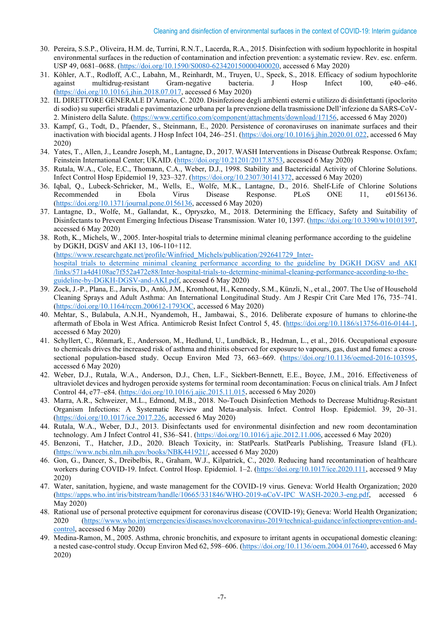- 30. Pereira, S.S.P., Oliveira, H.M. de, Turrini, R.N.T., Lacerda, R.A., 2015. Disinfection with sodium hypochlorite in hospital environmental surfaces in the reduction of contamination and infection prevention: a systematic review. Rev. esc. enferm. USP 49, 0681–0688. [\(https://doi.org/10.1590/S0080-623420150000400020,](https://doi.org/10.1590/S0080-623420150000400020) accessed 6 May 2020)
- 31. Köhler, A.T., Rodloff, A.C., Labahn, M., Reinhardt, M., Truyen, U., Speck, S., 2018. Efficacy of sodium hypochlorite against multidrug-resistant Gram-negative bacteria. J Hosp Infect 100, e40–e46. [\(https://doi.org/10.1016/j.jhin.2018.07.017,](https://doi.org/10.1016/j.jhin.2018.07.017) accessed 6 May 2020)
- 32. IL DIRETTORE GENERALE D'Amario, C. 2020. Disinfezione degli ambienti esterni e utilizzo di disinfettanti (ipoclorito di sodio) su superfici stradali e pavimentazione urbana per la prevenzione della trasmissione Dell'infezione da SARS-CoV-2. Ministero della Salute. [\(https://www.certifico.com/component/attachments/download/17156,](https://www.certifico.com/component/attachments/download/17156) accessed 6 May 2020)
- 33. Kampf, G., Todt, D., Pfaender, S., Steinmann, E., 2020. Persistence of coronaviruses on inanimate surfaces and their inactivation with biocidal agents. J Hosp Infect 104, 246–251. [\(https://doi.org/10.1016/j.jhin.2020.01.022,](https://doi.org/10.1016/j.jhin.2020.01.022) accessed 6 May 2020)
- 34. Yates, T., Allen, J., Leandre Joseph, M., Lantagne, D., 2017. WASH Interventions in Disease Outbreak Response. Oxfam; Feinstein International Center; UKAID. [\(https://doi.org/10.21201/2017.8753,](https://doi.org/10.21201/2017.8753) accessed 6 May 2020)
- 35. Rutala, W.A., Cole, E.C., Thomann, C.A., Weber, D.J., 1998. Stability and Bactericidal Activity of Chlorine Solutions. Infect Control Hosp Epidemiol 19, 323–327. [\(https://doi.org/10.2307/30141372,](https://doi.org/10.2307/30141372) accessed 6 May 2020)
- 36. Iqbal, Q., Lubeck-Schricker, M., Wells, E., Wolfe, M.K., Lantagne, D., 2016. Shelf-Life of Chlorine Solutions Recommended in Ebola Virus Disease Response. PLoS ONE 11, e0156136. [\(https://doi.org/10.1371/journal.pone.0156136,](https://doi.org/10.1371/journal.pone.0156136) accessed 6 May 2020)
- 37. Lantagne, D., Wolfe, M., Gallandat, K., Opryszko, M., 2018. Determining the Efficacy, Safety and Suitability of Disinfectants to Prevent Emerging Infectious Disease Transmission. Water 10, 1397. [\(https://doi.org/10.3390/w10101397,](https://doi.org/10.3390/w10101397) accessed 6 May 2020)
- 38. Roth, K., Michels, W., 2005. Inter-hospital trials to determine minimal cleaning performance according to the guideline by DGKH, DGSV and AKI 13, 106-110+112. [\(https://www.researchgate.net/profile/Winfried\\_Michels/publication/292641729\\_Inter](https://www.researchgate.net/profile/Winfried_Michels/publication/292641729_Inter-hospital_trials_to_determine_minimal_cleaning_performance_according_to_the_guideline_by_DGKH_DGSV_and_AKI/links/571a4d4108ae7f552a472e88/Inter-hospital-trials-to-determine-minimal-cleaning-performance-according-to-the-guideline-by-DGKH-DGSV-and-AKI.pdf)[hospital\\_trials\\_to\\_determine\\_minimal\\_cleaning\\_performance\\_according\\_to\\_the\\_guideline\\_by\\_DGKH\\_DGSV\\_and\\_AKI](https://www.researchgate.net/profile/Winfried_Michels/publication/292641729_Inter-hospital_trials_to_determine_minimal_cleaning_performance_according_to_the_guideline_by_DGKH_DGSV_and_AKI/links/571a4d4108ae7f552a472e88/Inter-hospital-trials-to-determine-minimal-cleaning-performance-according-to-the-guideline-by-DGKH-DGSV-and-AKI.pdf) [/links/571a4d4108ae7f552a472e88/Inter-hospital-trials-to-determine-minimal-cleaning-performance-according-to-the](https://www.researchgate.net/profile/Winfried_Michels/publication/292641729_Inter-hospital_trials_to_determine_minimal_cleaning_performance_according_to_the_guideline_by_DGKH_DGSV_and_AKI/links/571a4d4108ae7f552a472e88/Inter-hospital-trials-to-determine-minimal-cleaning-performance-according-to-the-guideline-by-DGKH-DGSV-and-AKI.pdf)[guideline-by-DGKH-DGSV-and-AKI.pdf,](https://www.researchgate.net/profile/Winfried_Michels/publication/292641729_Inter-hospital_trials_to_determine_minimal_cleaning_performance_according_to_the_guideline_by_DGKH_DGSV_and_AKI/links/571a4d4108ae7f552a472e88/Inter-hospital-trials-to-determine-minimal-cleaning-performance-according-to-the-guideline-by-DGKH-DGSV-and-AKI.pdf) accessed 6 May 2020)
- 39. Zock, J.-P., Plana, E., Jarvis, D., Antó, J.M., Kromhout, H., Kennedy, S.M., Künzli, N., et al., 2007. The Use of Household Cleaning Sprays and Adult Asthma: An International Longitudinal Study. Am J Respir Crit Care Med 176, 735–741. [\(https://doi.org/10.1164/rccm.200612-1793OC,](https://doi.org/10.1164/rccm.200612-1793OC) accessed 6 May 2020)
- 40. Mehtar, S., Bulabula, A.N.H., Nyandemoh, H., Jambawai, S., 2016. Deliberate exposure of humans to chlorine-the aftermath of Ebola in West Africa. Antimicrob Resist Infect Control 5, 45. [\(https://doi.org/10.1186/s13756-016-0144-1,](https://doi.org/10.1186/s13756-016-0144-1) accessed 6 May 2020)
- 41. Schyllert, C., Rönmark, E., Andersson, M., Hedlund, U., Lundbäck, B., Hedman, L., et al., 2016. Occupational exposure to chemicals drives the increased risk of asthma and rhinitis observed for exposure to vapours, gas, dust and fumes: a crosssectional population-based study. Occup Environ Med 73, 663–669. [\(https://doi.org/10.1136/oemed-2016-103595,](https://doi.org/10.1136/oemed-2016-103595) accessed 6 May 2020)
- 42. Weber, D.J., Rutala, W.A., Anderson, D.J., Chen, L.F., Sickbert-Bennett, E.E., Boyce, J.M., 2016. Effectiveness of ultraviolet devices and hydrogen peroxide systems for terminal room decontamination: Focus on clinical trials. Am J Infect Control 44, e77–e84. [\(https://doi.org/10.1016/j.ajic.2015.11.015,](https://doi.org/10.1016/j.ajic.2015.11.015) accessed 6 May 2020)
- 43. Marra, A.R., Schweizer, M.L., Edmond, M.B., 2018. No-Touch Disinfection Methods to Decrease Multidrug-Resistant Organism Infections: A Systematic Review and Meta-analysis. Infect. Control Hosp. Epidemiol. 39, 20–31. [\(https://doi.org/10.1017/ice.2017.226,](https://doi.org/10.1017/ice.2017.226) accessed 6 May 2020)
- 44. Rutala, W.A., Weber, D.J., 2013. Disinfectants used for environmental disinfection and new room decontamination technology. Am J Infect Control 41, S36–S41. [\(https://doi.org/10.1016/j.ajic.2012.11.006,](https://doi.org/10.1016/j.ajic.2012.11.006) accessed 6 May 2020)
- 45. Benzoni, T., Hatcher, J.D., 2020. Bleach Toxicity, in: StatPearls. StatPearls Publishing, Treasure Island (FL). [\(https://www.ncbi.nlm.nih.gov/books/NBK441921/,](https://www.ncbi.nlm.nih.gov/books/NBK441921/) accessed 6 May 2020)
- 46. Gon, G., Dancer, S., Dreibelbis, R., Graham, W.J., Kilpatrick, C., 2020. Reducing hand recontamination of healthcare workers during COVID-19. Infect. Control Hosp. Epidemiol. 1–2. [\(https://doi.org/10.1017/ice.2020.111,](https://doi.org/10.1017/ice.2020.111) accessed 9 May 2020)
- 47. Water, sanitation, hygiene, and waste management for the COVID-19 virus. Geneva: World Health Organization; 2020 [\(https://apps.who.int/iris/bitstream/handle/10665/331846/WHO-2019-nCoV-IPC\\_WASH-2020.3-eng.pdf,](https://apps.who.int/iris/bitstream/handle/10665/331846/WHO-2019-nCoV-IPC_WASH-2020.3-eng.pdf) accessed 6 May 2020)
- 48. Rational use of personal protective equipment for coronavirus disease (COVID-19); Geneva: World Health Organization; 2020 [\(https://www.who.int/emergencies/diseases/novelcoronavirus-2019/technical-guidance/infectionprevention-and](https://www.who.int/emergencies/diseases/novelcoronavirus-2019/technical-guidance/infectionprevention-and-control)[control,](https://www.who.int/emergencies/diseases/novelcoronavirus-2019/technical-guidance/infectionprevention-and-control) accessed 6 May 2020)
- 49. Medina-Ramon, M., 2005. Asthma, chronic bronchitis, and exposure to irritant agents in occupational domestic cleaning: a nested case-control study. Occup Environ Med 62, 598–606. [\(https://doi.org/10.1136/oem.2004.017640,](https://doi.org/10.1136/oem.2004.017640) accessed 6 May 2020)